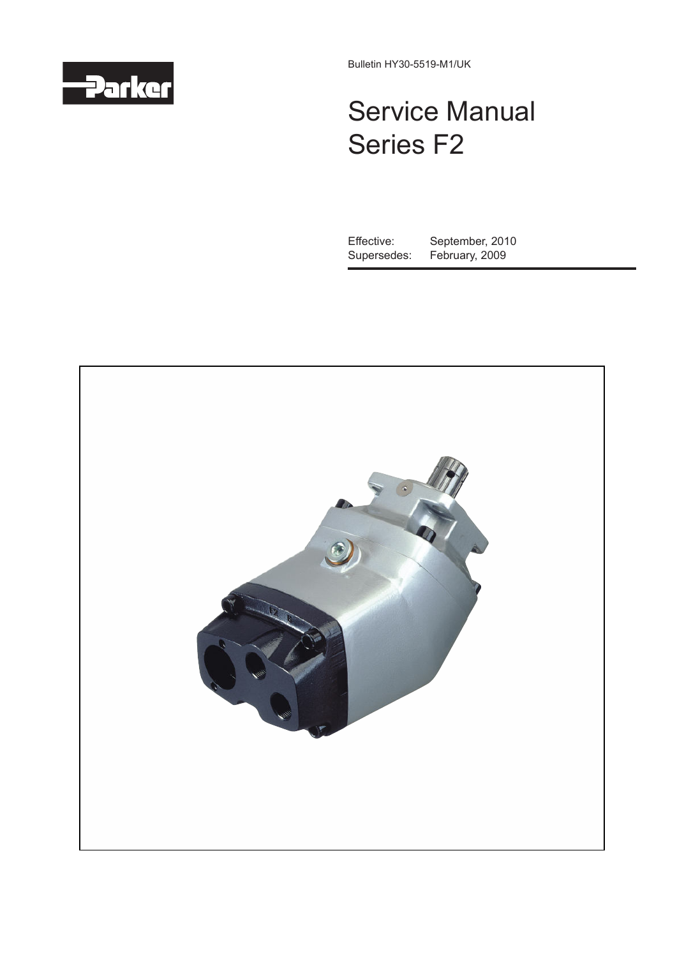

Bulletin HY30-5519-M1/UK

# Service Manual Series F2

Effective: September, 2010<br>Supersedes: February, 2009 February, 2009

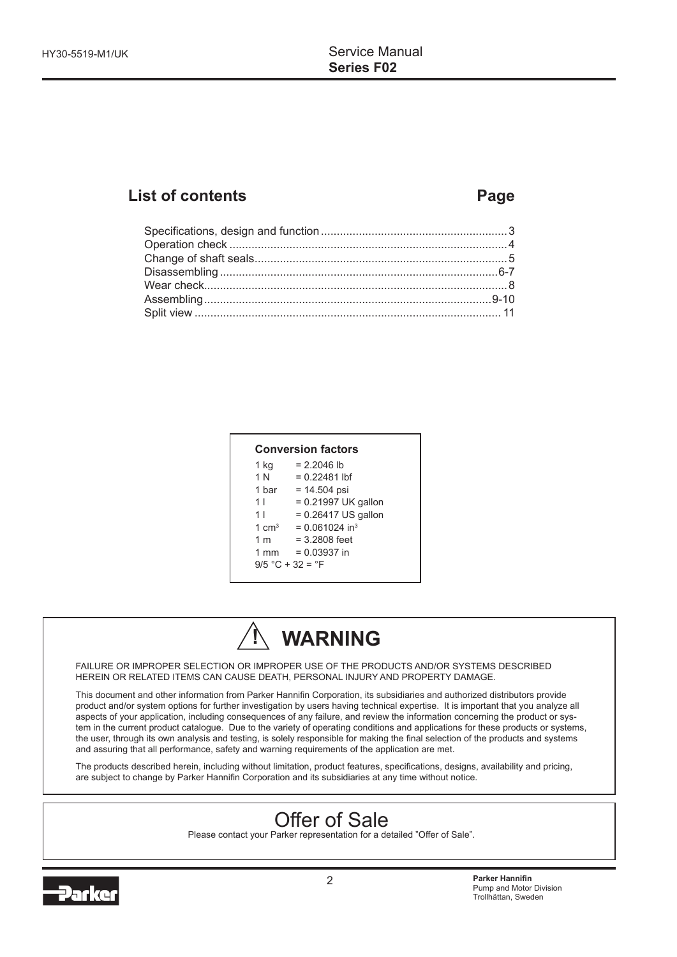# **List of contents Page**

| $1$ kg         | $= 2.2046$ lb                |
|----------------|------------------------------|
| 1 N            | $= 0.22481$ lbf              |
| 1 bar          | $= 14.504$ psi               |
| 1 <sub>1</sub> | = 0.21997 UK gallon          |
| 1              | $= 0.26417$ US gallon        |
| 1 $cm3$        | $= 0.061024$ in <sup>3</sup> |
| 1 m            | $= 3.2808$ feet              |
| $1 \text{ mm}$ | $= 0.03937$ in               |



FAILURE OR IMPROPER SELECTION OR IMPROPER USE OF THE PRODUCTS AND/OR SYSTEMS DESCRIBED HEREIN OR RELATED ITEMS CAN CAUSE DEATH, PERSONAL INJURY AND PROPERTY DAMAGE.

This document and other information from Parker Hannifin Corporation, its subsidiaries and authorized distributors provide product and/or system options for further investigation by users having technical expertise. It is important that you analyze all aspects of your application, including consequences of any failure, and review the information concerning the product or system in the current product catalogue. Due to the variety of operating conditions and applications for these products or systems, the user, through its own analysis and testing, is solely responsible for making the final selection of the products and systems and assuring that all performance, safety and warning requirements of the application are met.

The products described herein, including without limitation, product features, specifications, designs, availability and pricing, are subject to change by Parker Hannifin Corporation and its subsidiaries at any time without notice.

# Offer of Sale

Please contact your Parker representation for a detailed "Offer of Sale".

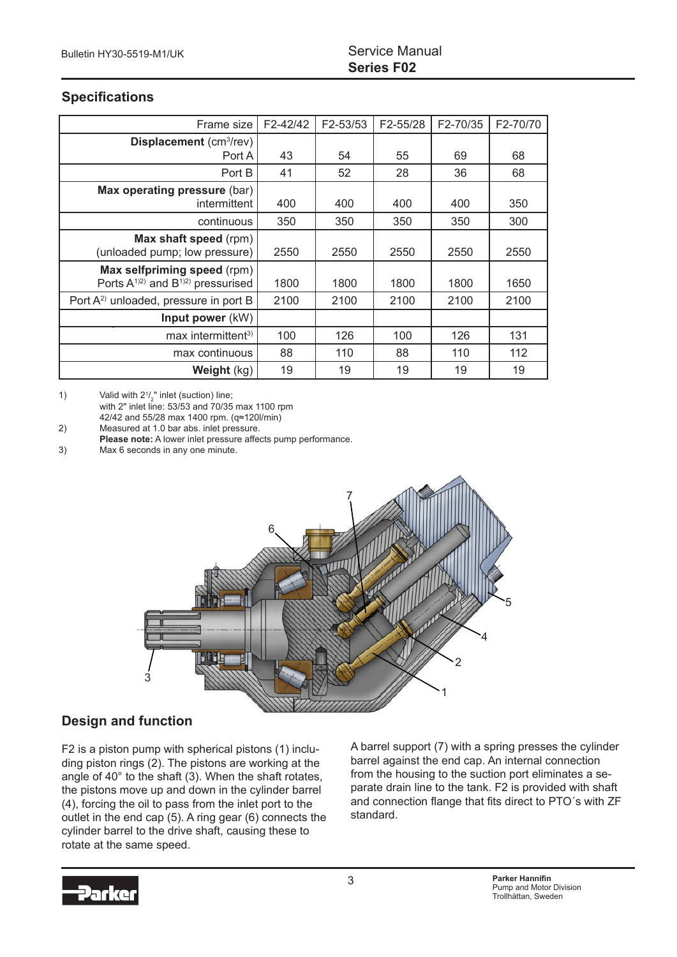#### **Specifications**

| Frame size                                                                   | F2-42/42 | F2-53/53 | F2-55/28 | F2-70/35 | F2-70/70 |
|------------------------------------------------------------------------------|----------|----------|----------|----------|----------|
| Displacement (cm <sup>3</sup> /rev)                                          |          |          |          |          |          |
| Port A                                                                       | 43       | 54       | 55       | 69       | 68       |
| Port B                                                                       | 41       | 52       | 28       | 36       | 68       |
| Max operating pressure (bar)<br>intermittent                                 | 400      | 400      | 400      | 400      | 350      |
| continuous                                                                   | 350      | 350      | 350      | 350      | 300      |
| Max shaft speed (rpm)<br>(unloaded pump; low pressure)                       | 2550     | 2550     | 2550     | 2550     | 2550     |
| Max selfpriming speed (rpm)<br>Ports $A^{(1)2)}$ and $B^{(1)2)}$ pressurised | 1800     | 1800     | 1800     | 1800     | 1650     |
| Port A <sup>2)</sup> unloaded, pressure in port B                            | 2100     | 2100     | 2100     | 2100     | 2100     |
| Input power (kW)                                                             |          |          |          |          |          |
| max intermittent <sup>3)</sup>                                               | 100      | 126      | 100      | 126      | 131      |
| max continuous                                                               | 88       | 110      | 88       | 110      | 112      |
| Weight (kg)                                                                  | 19       | 19       | 19       | 19       | 19       |

1) Valid with  $2\frac{1}{3}$  inlet (suction) line;

with  $2^n$  inlet line: 53/53 and 70/35 max 1100 rpm

42/42 and 55/28 max 1400 rpm.  $(q≈120$ /min)<br>2) Measured at 1.0 bar abs. inlet pressure. Measured at 1.0 bar abs. inlet pressure.

**Please note:** A lower inlet pressure affects pump performance.

3) Max 6 seconds in any one minute.



#### **Design and function**

F2 is a piston pump with spherical pistons (1) including piston rings (2). The pistons are working at the angle of 40° to the shaft (3). When the shaft rotates, the pistons move up and down in the cylinder barrel (4), forcing the oil to pass from the inlet port to the outlet in the end cap (5). A ring gear (6) connects the cylinder barrel to the drive shaft, causing these to rotate at the same speed.

A barrel support (7) with a spring presses the cylinder barrel against the end cap. An internal connection from the housing to the suction port eliminates a separate drain line to the tank. F2 is provided with shaft and connection flange that fits direct to PTO´s with ZF standard.

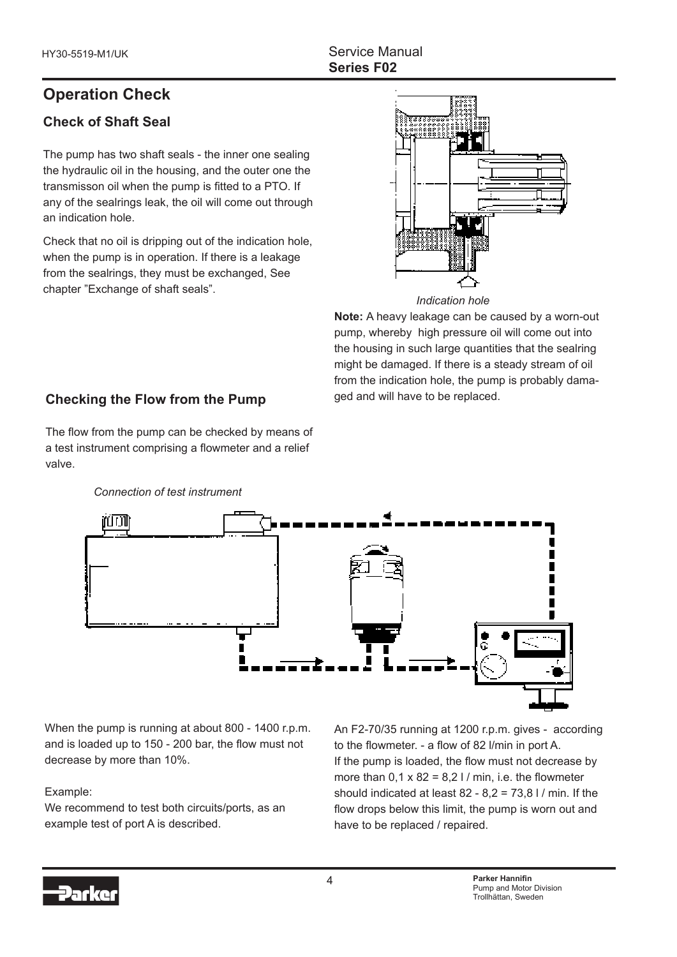# **Operation Check**

# **Check of Shaft Seal**

The pump has two shaft seals - the inner one sealing the hydraulic oil in the housing, and the outer one the transmisson oil when the pump is fitted to a PTO. If any of the sealrings leak, the oil will come out through an indication hole.

Check that no oil is dripping out of the indication hole, when the pump is in operation. If there is a leakage from the sealrings, they must be exchanged, See chapter "Exchange of shaft seals".



*Indication hole*

**Note:** A heavy leakage can be caused by a worn-out pump, whereby high pressure oil will come out into the housing in such large quantities that the sealring might be damaged. If there is a steady stream of oil from the indication hole, the pump is probably damaged and will have to be replaced.

# **Checking the Flow from the Pump**

The flow from the pump can be checked by means of a test instrument comprising a flowmeter and a relief valve.



*Connection of test instrument*

 and is loaded up to 150 - 200 bar, the flow must not When the pump is running at about 800 - 1400 r.p.m. decrease by more than 10%.

#### Example:

We recommend to test both circuits/ports, as an example test of port A is described.

An F2-70/35 running at 1200 r.p.m. gives - according to the flowmeter. - a flow of 82 l/min in port A. If the pump is loaded, the flow must not decrease by more than  $0.1 \times 82 = 8.2$  I / min, i.e. the flowmeter should indicated at least  $82 - 8.2 = 73.8$  I / min. If the flow drops below this limit, the pump is worn out and have to be replaced / repaired.

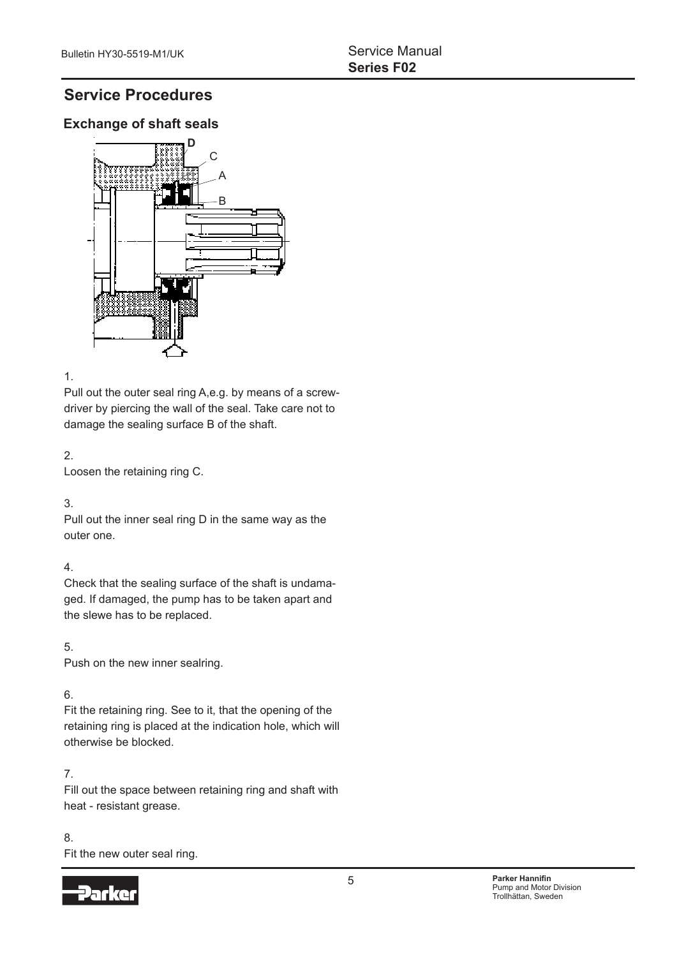# **Service Procedures**

### **Exchange of shaft seals**



#### 1.

Pull out the outer seal ring A,e.g. by means of a screwdriver by piercing the wall of the seal. Take care not to damage the sealing surface B of the shaft.

#### 2.

Loosen the retaining ring C.

#### 3.

Pull out the inner seal ring D in the same way as the outer one.

#### 4.

Check that the sealing surface of the shaft is undamaged. If damaged, the pump has to be taken apart and the slewe has to be replaced.

#### 5.

Push on the new inner sealring.

#### 6.

Fit the retaining ring. See to it, that the opening of the retaining ring is placed at the indication hole, which will otherwise be blocked.

#### 7.

Fill out the space between retaining ring and shaft with heat - resistant grease.

#### 8. Fit the new outer seal ring.

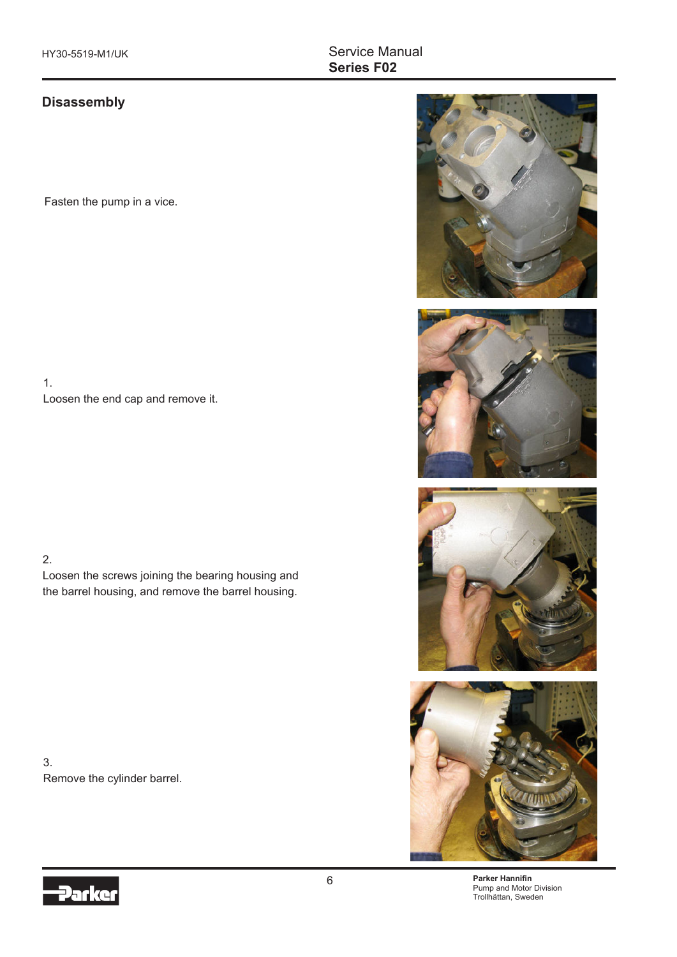#### Service Manual **Series F02**

#### **Disassembly**

Fasten the pump in a vice.

1. Loosen the end cap and remove it.

2.

Loosen the screws joining the bearing housing and the barrel housing, and remove the barrel housing.

3. Remove the cylinder barrel.









**Parker Hannifin** Pump and Motor Division Trollhättan, Sweden

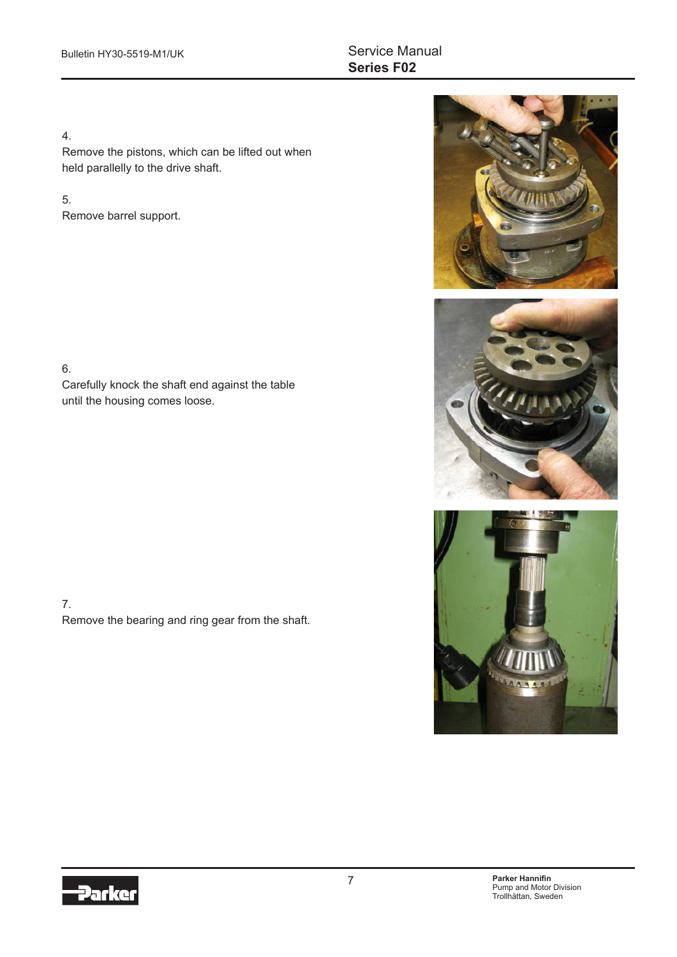#### 4.

Remove the pistons, which can be lifted out when held parallelly to the drive shaft.

#### 5.

Remove barrel support.

6.

Carefully knock the shaft end against the table until the housing comes loose.

7. Remove the bearing and ring gear from the shaft.







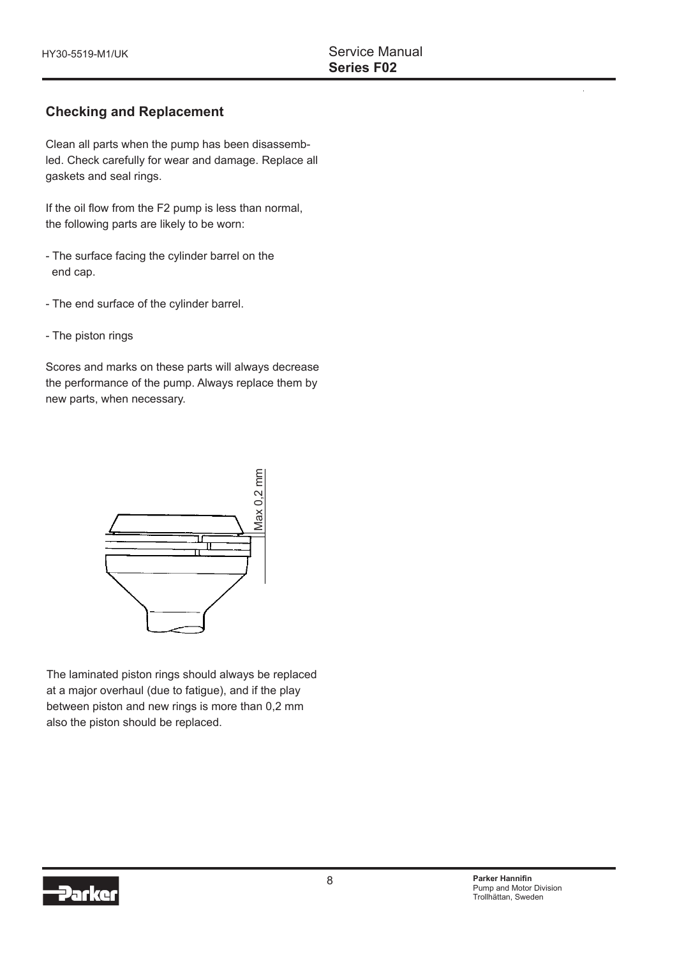#### **Checking and Replacement**

Clean all parts when the pump has been disassembled. Check carefully for wear and damage. Replace all gaskets and seal rings.

If the oil flow from the F2 pump is less than normal, the following parts are likely to be worn:

- The surface facing the cylinder barrel on the end cap.
- The end surface of the cylinder barrel.
- The piston rings

Scores and marks on these parts will always decrease the performance of the pump. Always replace them by new parts, when necessary.



The laminated piston rings should always be replaced at a major overhaul (due to fatigue), and if the play between piston and new rings is more than 0,2 mm also the piston should be replaced.

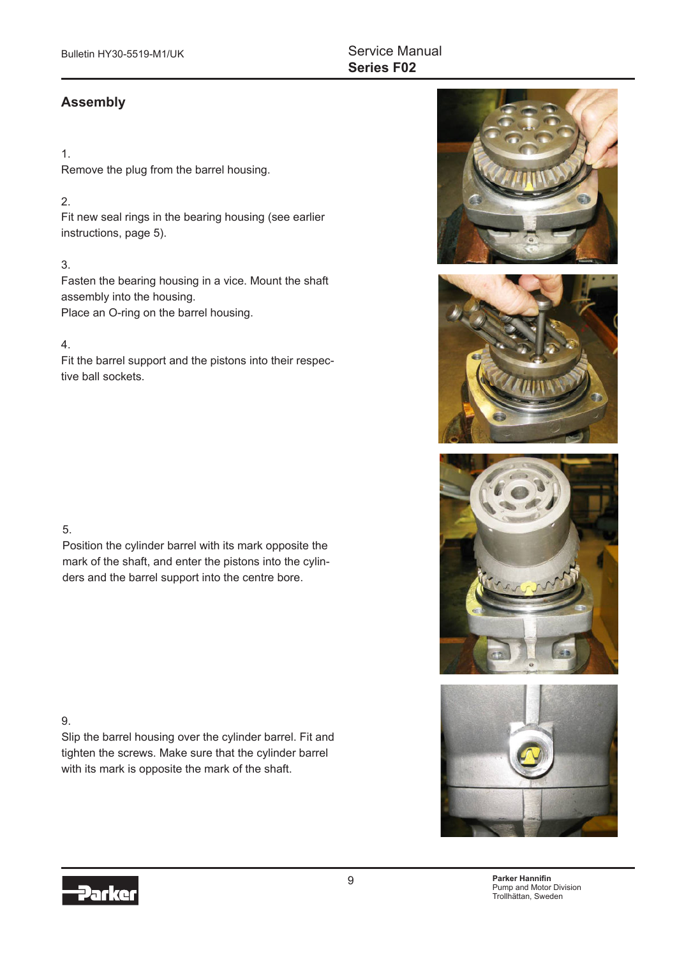#### **Assembly**

#### 1.

Remove the plug from the barrel housing.

#### 2.

Fit new seal rings in the bearing housing (see earlier instructions, page 5).

#### 3.

Fasten the bearing housing in a vice. Mount the shaft assembly into the housing. Place an O-ring on the barrel housing.

#### 4.

Fit the barrel support and the pistons into their respective ball sockets.

#### 5.

Position the cylinder barrel with its mark opposite the mark of the shaft, and enter the pistons into the cylinders and the barrel support into the centre bore.

#### 9.

Slip the barrel housing over the cylinder barrel. Fit and tighten the screws. Make sure that the cylinder barrel with its mark is opposite the mark of the shaft.







 9 **Parker Hannifin** Pump and Motor Division Trollhättan, Sweden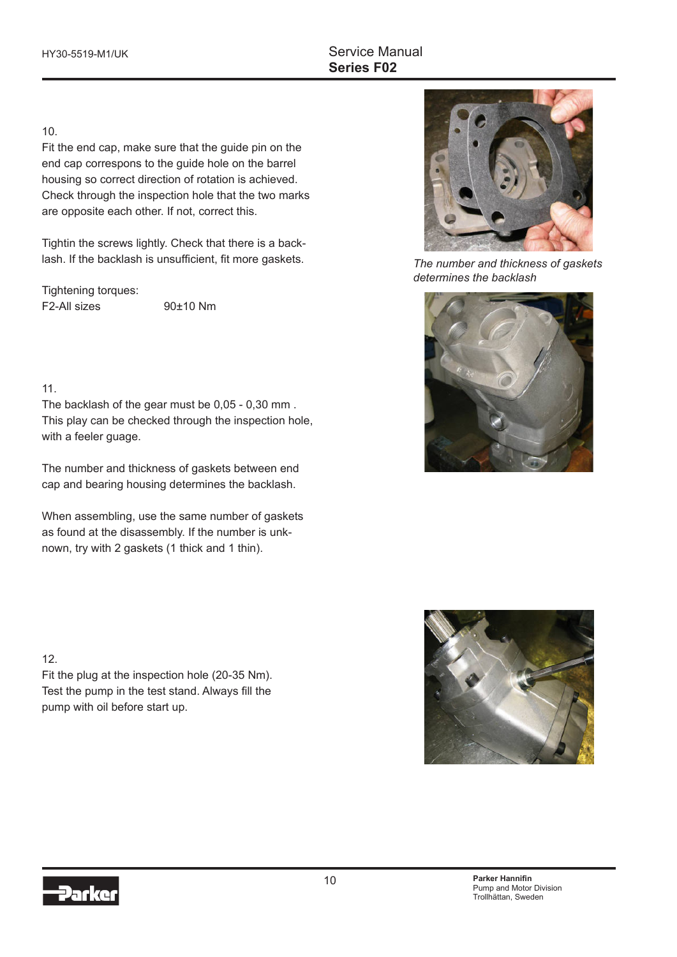#### 10.

Fit the end cap, make sure that the guide pin on the end cap correspons to the guide hole on the barrel housing so correct direction of rotation is achieved. Check through the inspection hole that the two marks are opposite each other. If not, correct this.

Tightin the screws lightly. Check that there is a backlash. If the backlash is unsufficient, fit more gaskets.

Tightening torques: F2-All sizes 90±10 Nm

11.

The backlash of the gear must be 0,05 - 0,30 mm . This play can be checked through the inspection hole, with a feeler guage.

The number and thickness of gaskets between end cap and bearing housing determines the backlash.

When assembling, use the same number of gaskets as found at the disassembly. If the number is unknown, try with 2 gaskets (1 thick and 1 thin).



*The number and thickness of gaskets determines the backlash*





Fit the plug at the inspection hole (20-35 Nm). Test the pump in the test stand. Always fill the pump with oil before start up.

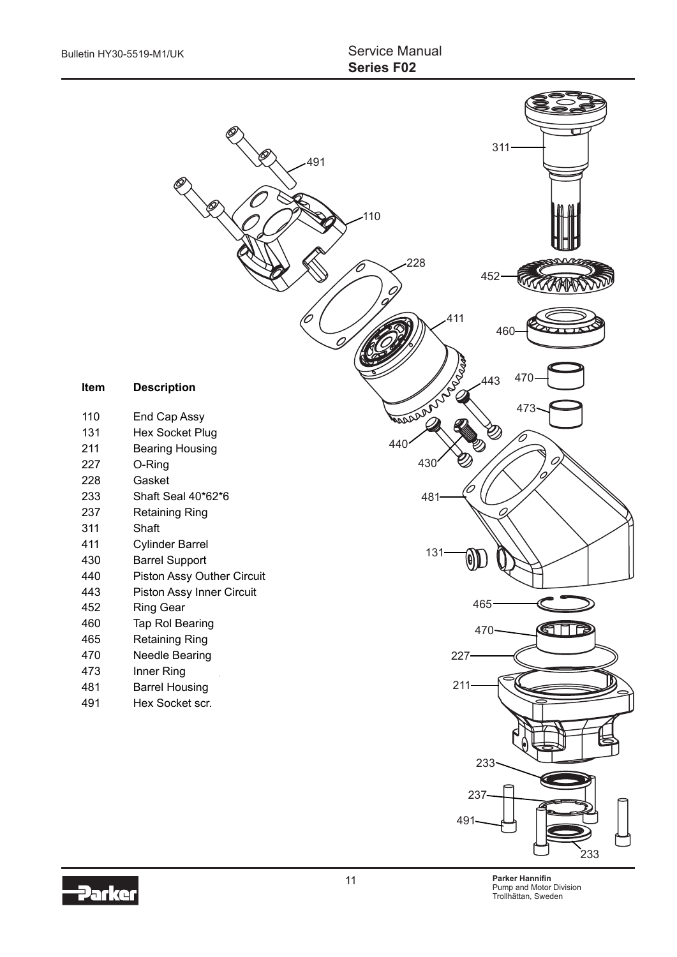

Darko